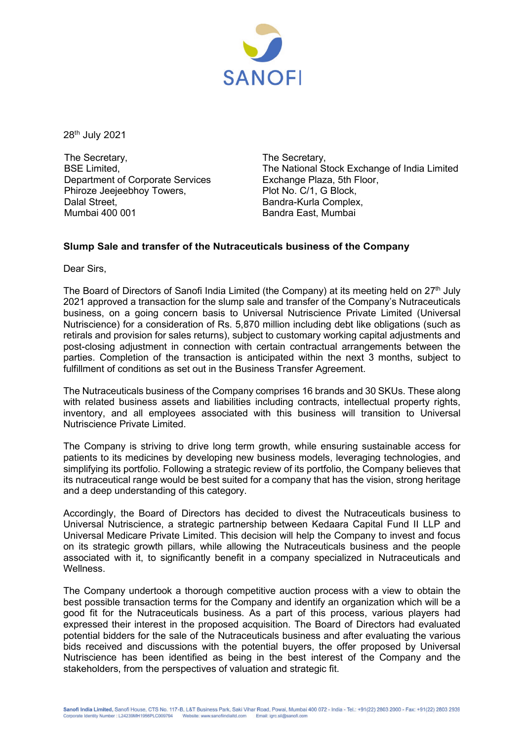

28th July 2021

The Secretary, BSE Limited, Department of Corporate Services Phiroze Jeejeebhoy Towers, Dalal Street, Mumbai 400 001

The Secretary, The National Stock Exchange of India Limited Exchange Plaza, 5th Floor, Plot No. C/1, G Block, Bandra-Kurla Complex, Bandra East, Mumbai

## **Slump Sale and transfer of the Nutraceuticals business of the Company**

Dear Sirs,

The Board of Directors of Sanofi India Limited (the Company) at its meeting held on  $27<sup>th</sup>$  July 2021 approved a transaction for the slump sale and transfer of the Company's Nutraceuticals business, on a going concern basis to Universal Nutriscience Private Limited (Universal Nutriscience) for a consideration of Rs. 5,870 million including debt like obligations (such as retirals and provision for sales returns), subject to customary working capital adjustments and post-closing adjustment in connection with certain contractual arrangements between the parties. Completion of the transaction is anticipated within the next 3 months, subject to fulfillment of conditions as set out in the Business Transfer Agreement.

The Nutraceuticals business of the Company comprises 16 brands and 30 SKUs. These along with related business assets and liabilities including contracts, intellectual property rights, inventory, and all employees associated with this business will transition to Universal Nutriscience Private Limited.

The Company is striving to drive long term growth, while ensuring sustainable access for patients to its medicines by developing new business models, leveraging technologies, and simplifying its portfolio. Following a strategic review of its portfolio, the Company believes that its nutraceutical range would be best suited for a company that has the vision, strong heritage and a deep understanding of this category.

Accordingly, the Board of Directors has decided to divest the Nutraceuticals business to Universal Nutriscience, a strategic partnership between Kedaara Capital Fund II LLP and Universal Medicare Private Limited. This decision will help the Company to invest and focus on its strategic growth pillars, while allowing the Nutraceuticals business and the people associated with it, to significantly benefit in a company specialized in Nutraceuticals and **Wellness** 

The Company undertook a thorough competitive auction process with a view to obtain the best possible transaction terms for the Company and identify an organization which will be a good fit for the Nutraceuticals business. As a part of this process, various players had expressed their interest in the proposed acquisition. The Board of Directors had evaluated potential bidders for the sale of the Nutraceuticals business and after evaluating the various bids received and discussions with the potential buyers, the offer proposed by Universal Nutriscience has been identified as being in the best interest of the Company and the stakeholders, from the perspectives of valuation and strategic fit.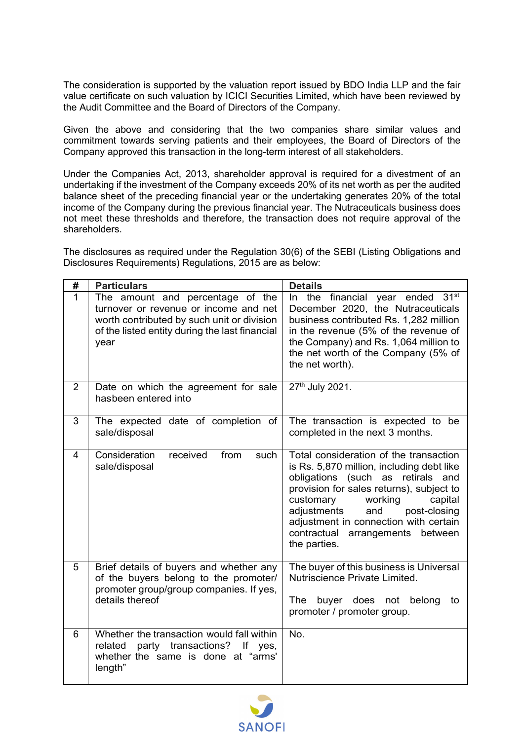The consideration is supported by the valuation report issued by BDO India LLP and the fair value certificate on such valuation by ICICI Securities Limited, which have been reviewed by the Audit Committee and the Board of Directors of the Company.

Given the above and considering that the two companies share similar values and commitment towards serving patients and their employees, the Board of Directors of the Company approved this transaction in the long-term interest of all stakeholders.

Under the Companies Act, 2013, shareholder approval is required for a divestment of an undertaking if the investment of the Company exceeds 20% of its net worth as per the audited balance sheet of the preceding financial year or the undertaking generates 20% of the total income of the Company during the previous financial year. The Nutraceuticals business does not meet these thresholds and therefore, the transaction does not require approval of the shareholders.

The disclosures as required under the Regulation 30(6) of the SEBI (Listing Obligations and Disclosures Requirements) Regulations, 2015 are as below:

| #              | <b>Particulars</b>                                                                                                                                                                | <b>Details</b>                                                                                                                                                                                                                                                                                                                                |
|----------------|-----------------------------------------------------------------------------------------------------------------------------------------------------------------------------------|-----------------------------------------------------------------------------------------------------------------------------------------------------------------------------------------------------------------------------------------------------------------------------------------------------------------------------------------------|
| $\mathbf{1}$   | The amount and percentage of the<br>turnover or revenue or income and net<br>worth contributed by such unit or division<br>of the listed entity during the last financial<br>year | In the financial year ended 31 <sup>st</sup><br>December 2020, the Nutraceuticals<br>business contributed Rs. 1,282 million<br>in the revenue (5% of the revenue of<br>the Company) and Rs. 1,064 million to<br>the net worth of the Company (5% of<br>the net worth).                                                                        |
| $\overline{2}$ | Date on which the agreement for sale<br>hasbeen entered into                                                                                                                      | 27th July 2021.                                                                                                                                                                                                                                                                                                                               |
| 3              | The expected date of completion of<br>sale/disposal                                                                                                                               | The transaction is expected to be<br>completed in the next 3 months.                                                                                                                                                                                                                                                                          |
| 4              | Consideration<br>from<br>received<br>such<br>sale/disposal                                                                                                                        | Total consideration of the transaction<br>is Rs. 5,870 million, including debt like<br>obligations (such as retirals and<br>provision for sales returns), subject to<br>customary<br>working<br>capital<br>adjustments<br>and<br>post-closing<br>adjustment in connection with certain<br>contractual<br>arrangements between<br>the parties. |
| 5              | Brief details of buyers and whether any<br>of the buyers belong to the promoter/<br>promoter group/group companies. If yes,<br>details thereof                                    | The buyer of this business is Universal<br>Nutriscience Private Limited.<br>The<br>buyer does not belong<br>to<br>promoter / promoter group.                                                                                                                                                                                                  |
| 6              | Whether the transaction would fall within<br>party transactions? If yes,<br>related<br>whether the same is done at "arms"<br>length"                                              | No.                                                                                                                                                                                                                                                                                                                                           |

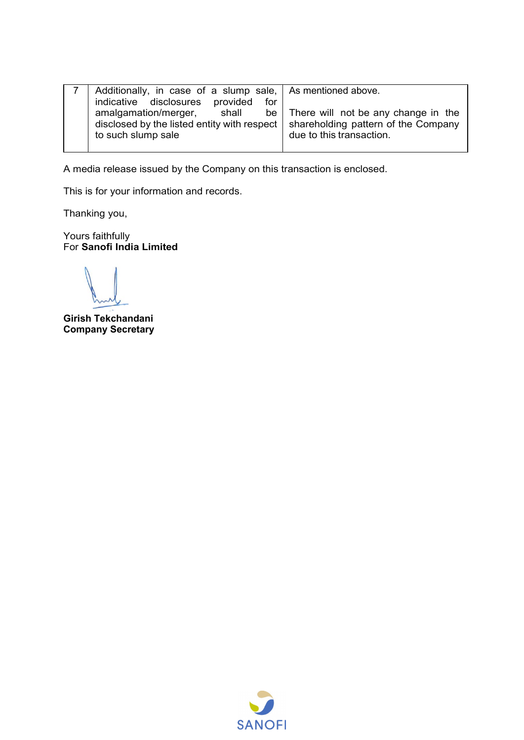| Additionally, in case of a slump sale, As mentioned above.<br>indicative disclosures provided<br>for                                  |                                                                      |
|---------------------------------------------------------------------------------------------------------------------------------------|----------------------------------------------------------------------|
| amalgamation/merger, shall<br>disclosed by the listed entity with respect   shareholding pattern of the Company<br>to such slump sale | be   There will not be any change in the<br>due to this transaction. |

A media release issued by the Company on this transaction is enclosed.

This is for your information and records.

Thanking you,

Yours faithfully For **Sanofi India Limited**

i. **Girish Tekchandani Company Secretary** 

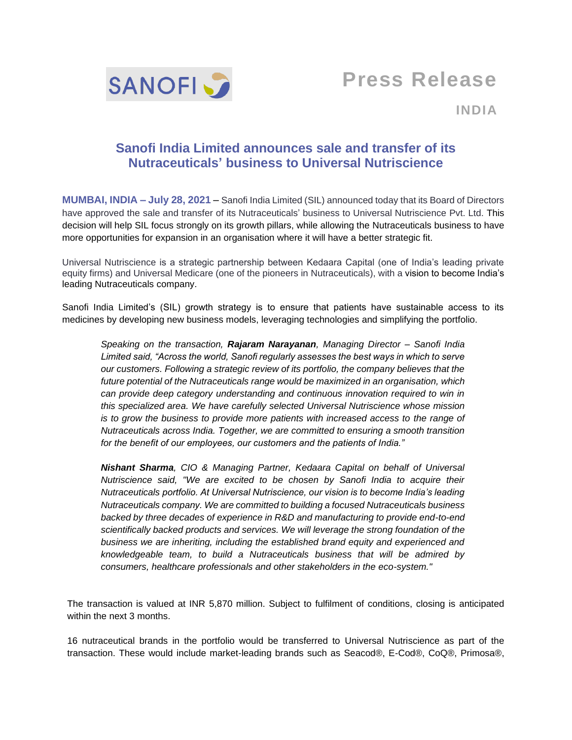

**Press Release**

**INDIA**

# **Sanofi India Limited announces sale and transfer of its Nutraceuticals' business to Universal Nutriscience**

**MUMBAI, INDIA – July 28, 2021** – Sanofi India Limited (SIL) announced today that its Board of Directors have approved the sale and transfer of its Nutraceuticals' business to Universal Nutriscience Pvt. Ltd. This decision will help SIL focus strongly on its growth pillars, while allowing the Nutraceuticals business to have more opportunities for expansion in an organisation where it will have a better strategic fit.

Universal Nutriscience is a strategic partnership between Kedaara Capital (one of India's leading private equity firms) and Universal Medicare (one of the pioneers in Nutraceuticals), with a vision to become India's leading Nutraceuticals company.

Sanofi India Limited's (SIL) growth strategy is to ensure that patients have sustainable access to its medicines by developing new business models, leveraging technologies and simplifying the portfolio.

*Speaking on the transaction, Rajaram Narayanan, Managing Director – Sanofi India Limited said, "Across the world, Sanofi regularly assesses the best ways in which to serve our customers. Following a strategic review of its portfolio, the company believes that the future potential of the Nutraceuticals range would be maximized in an organisation, which can provide deep category understanding and continuous innovation required to win in this specialized area. We have carefully selected Universal Nutriscience whose mission is to grow the business to provide more patients with increased access to the range of Nutraceuticals across India. Together, we are committed to ensuring a smooth transition for the benefit of our employees, our customers and the patients of India."* 

*Nishant Sharma, CIO & Managing Partner, Kedaara Capital on behalf of Universal Nutriscience said, "We are excited to be chosen by Sanofi India to acquire their Nutraceuticals portfolio. At Universal Nutriscience, our vision is to become India's leading Nutraceuticals company. We are committed to building a focused Nutraceuticals business backed by three decades of experience in R&D and manufacturing to provide end-to-end scientifically backed products and services. We will leverage the strong foundation of the business we are inheriting, including the established brand equity and experienced and knowledgeable team, to build a Nutraceuticals business that will be admired by consumers, healthcare professionals and other stakeholders in the eco-system."*

The transaction is valued at INR 5,870 million. Subject to fulfilment of conditions, closing is anticipated within the next 3 months.

16 nutraceutical brands in the portfolio would be transferred to Universal Nutriscience as part of the transaction. These would include market-leading brands such as Seacod®, E-Cod®, CoQ®, Primosa®,